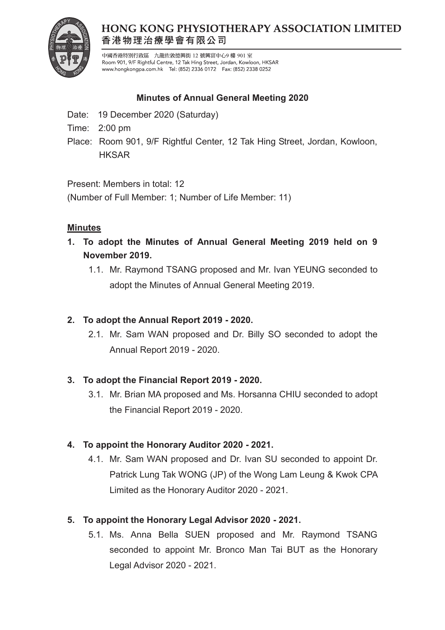

# **HONG KONG PHYSIOTHERAPY ASSOCIATION LIMITED** 香港物理治療學會有限公司

中國香港特別行政區 九龍佐敦德興街 12 號興富中心9 樓 901 室 Room 901, 9/F Rightful Centre, 12 Tak Hing Street, Jordan, Kowloon, HKSAR www.hongkongpa.com.hk Tel: (852) 2336 0172 Fax: (852) 2338 0252

### **Minutes of Annual General Meeting 2020**

- Date: 19 December 2020 (Saturday)
- Time: 2:00 pm
- Place: Room 901, 9/F Rightful Center, 12 Tak Hing Street, Jordan, Kowloon, **HKSAR**

Present: Members in total: 12

(Number of Full Member: 1; Number of Life Member: 11)

#### **Minutes**

- **1. To adopt the Minutes of Annual General Meeting 2019 held on 9 November 2019.**
	- 1.1. Mr. Raymond TSANG proposed and Mr. Ivan YEUNG seconded to adopt the Minutes of Annual General Meeting 2019.

### **2. To adopt the Annual Report 2019 - 2020.**

2.1. Mr. Sam WAN proposed and Dr. Billy SO seconded to adopt the Annual Report 2019 - 2020.

### **3. To adopt the Financial Report 2019 - 2020.**

3.1. Mr. Brian MA proposed and Ms. Horsanna CHIU seconded to adopt the Financial Report 2019 - 2020.

# **4. To appoint the Honorary Auditor 2020 - 2021.**

4.1. Mr. Sam WAN proposed and Dr. Ivan SU seconded to appoint Dr. Patrick Lung Tak WONG (JP) of the Wong Lam Leung & Kwok CPA Limited as the Honorary Auditor 2020 - 2021.

# **5. To appoint the Honorary Legal Advisor 2020 - 2021.**

5.1. Ms. Anna Bella SUEN proposed and Mr. Raymond TSANG seconded to appoint Mr. Bronco Man Tai BUT as the Honorary Legal Advisor 2020 - 2021.